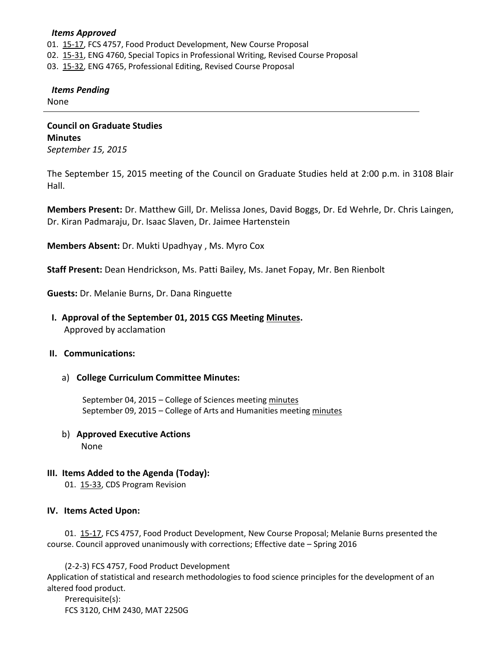#### *Items Approved*

- 01. [15-17,](http://castle.eiu.edu/~eiucgs/currentagendaitems/agenda15-17.pdf) FCS 4757, Food Product Development, New Course Proposal
- 02. [15-31,](http://castle.eiu.edu/~eiucgs/currentagendaitems/agenda15-31.pdf) ENG 4760, Special Topics in Professional Writing, Revised Course Proposal
- 03. [15-32,](http://castle.eiu.edu/~eiucgs/currentagendaitems/agenda15-32.pdf) ENG 4765, Professional Editing, Revised Course Proposal

### *Items Pending*

None

**Council on Graduate Studies Minutes** *September 15, 2015*

The September 15, 2015 meeting of the Council on Graduate Studies held at 2:00 p.m. in 3108 Blair Hall.

**Members Present:** Dr. Matthew Gill, Dr. Melissa Jones, David Boggs, Dr. Ed Wehrle, Dr. Chris Laingen, Dr. Kiran Padmaraju, Dr. Isaac Slaven, Dr. Jaimee Hartenstein

**Members Absent:** Dr. Mukti Upadhyay , Ms. Myro Cox

**Staff Present:** Dean Hendrickson, Ms. Patti Bailey, Ms. Janet Fopay, Mr. Ben Rienbolt

**Guests:** Dr. Melanie Burns, Dr. Dana Ringuette

 **I. Approval of the September 01, 2015 CGS Meeting [Minutes.](http://castle.eiu.edu/eiucgs/currentminutes/Minutes09-01-15.pdf)** Approved by acclamation

### **II. Communications:**

a) **College Curriculum Committee Minutes:**

September 04, 2015 – College of Sciences meetin[g minutes](http://castle.eiu.edu/~eiucgs/currentagendaitems/COSMin09-04-15.pdf) September 09, 2015 – College of Arts and Humanities meetin[g minutes](http://castle.eiu.edu/~eiucgs/currentagendaitems/CAHMin09-09-15.pdf)

- b) **Approved Executive Actions** None
	-
- **III. Items Added to the Agenda (Today):**

01. [15-33,](http://castle.eiu.edu/~eiucgs/currentagendaitems/agenda15-33.pdf) CDS Program Revision

### **IV. Items Acted Upon:**

01. [15-17,](http://castle.eiu.edu/~eiucgs/currentagendaitems/agenda15-17.pdf) FCS 4757, Food Product Development, New Course Proposal; Melanie Burns presented the course. Council approved unanimously with corrections; Effective date – Spring 2016

(2-2-3) FCS 4757, Food Product Development

Application of statistical and research methodologies to food science principles for the development of an altered food product.

Prerequisite(s): FCS 3120, CHM 2430, MAT 2250G